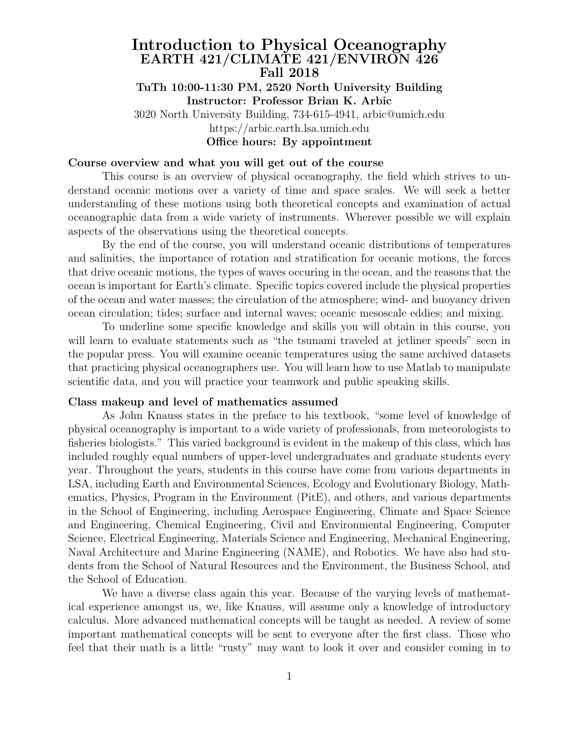# Introduction to Physical Oceanography EARTH 421/CLIMATE 421/ENVIRON 426 Fall 2018 TuTh 10:00-11:30 PM, 2520 North University Building Instructor: Professor Brian K. Arbic 3020 North University Building, 734-615-4941, arbic@umich.edu

https://arbic.earth.lsa.umich.edu

# Office hours: By appointment

### Course overview and what you will get out of the course

This course is an overview of physical oceanography, the field which strives to understand oceanic motions over a variety of time and space scales. We will seek a better understanding of these motions using both theoretical concepts and examination of actual oceanographic data from a wide variety of instruments. Wherever possible we will explain aspects of the observations using the theoretical concepts.

By the end of the course, you will understand oceanic distributions of temperatures and salinities, the importance of rotation and stratification for oceanic motions, the forces that drive oceanic motions, the types of waves occuring in the ocean, and the reasons that the ocean is important for Earth's climate. Specific topics covered include the physical properties of the ocean and water masses; the circulation of the atmosphere; wind- and buoyancy driven ocean circulation; tides; surface and internal waves; oceanic mesoscale eddies; and mixing.

To underline some specific knowledge and skills you will obtain in this course, you will learn to evaluate statements such as "the tsunami traveled at jetliner speeds" seen in the popular press. You will examine oceanic temperatures using the same archived datasets that practicing physical oceanographers use. You will learn how to use Matlab to manipulate scientific data, and you will practice your teamwork and public speaking skills.

#### Class makeup and level of mathematics assumed

As John Knauss states in the preface to his textbook, "some level of knowledge of physical oceanography is important to a wide variety of professionals, from meteorologists to fisheries biologists." This varied background is evident in the makeup of this class, which has included roughly equal numbers of upper-level undergraduates and graduate students every year. Throughout the years, students in this course have come from various departments in LSA, including Earth and Environmental Sciences, Ecology and Evolutionary Biology, Mathematics, Physics, Program in the Environment (PitE), and others, and various departments in the School of Engineering, including Aerospace Engineering, Climate and Space Science and Engineering, Chemical Engineering, Civil and Environmental Engineering, Computer Science, Electrical Engineering, Materials Science and Engineering, Mechanical Engineering, Naval Architecture and Marine Engineering (NAME), and Robotics. We have also had students from the School of Natural Resources and the Environment, the Business School, and the School of Education.

We have a diverse class again this year. Because of the varying levels of mathematical experience amongst us, we, like Knauss, will assume only a knowledge of introductory calculus. More advanced mathematical concepts will be taught as needed. A review of some important mathematical concepts will be sent to everyone after the first class. Those who feel that their math is a little "rusty" may want to look it over and consider coming in to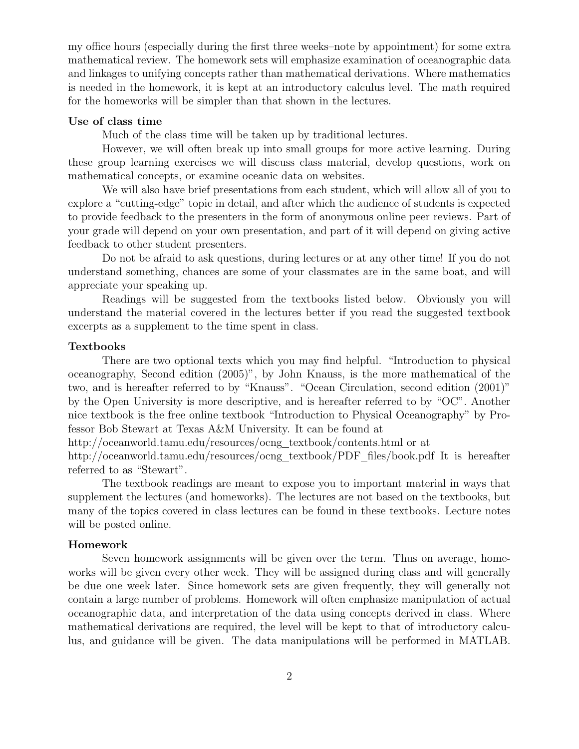my office hours (especially during the first three weeks–note by appointment) for some extra mathematical review. The homework sets will emphasize examination of oceanographic data and linkages to unifying concepts rather than mathematical derivations. Where mathematics is needed in the homework, it is kept at an introductory calculus level. The math required for the homeworks will be simpler than that shown in the lectures.

### Use of class time

Much of the class time will be taken up by traditional lectures.

However, we will often break up into small groups for more active learning. During these group learning exercises we will discuss class material, develop questions, work on mathematical concepts, or examine oceanic data on websites.

We will also have brief presentations from each student, which will allow all of you to explore a "cutting-edge" topic in detail, and after which the audience of students is expected to provide feedback to the presenters in the form of anonymous online peer reviews. Part of your grade will depend on your own presentation, and part of it will depend on giving active feedback to other student presenters.

Do not be afraid to ask questions, during lectures or at any other time! If you do not understand something, chances are some of your classmates are in the same boat, and will appreciate your speaking up.

Readings will be suggested from the textbooks listed below. Obviously you will understand the material covered in the lectures better if you read the suggested textbook excerpts as a supplement to the time spent in class.

#### Textbooks

There are two optional texts which you may find helpful. "Introduction to physical oceanography, Second edition (2005)", by John Knauss, is the more mathematical of the two, and is hereafter referred to by "Knauss". "Ocean Circulation, second edition (2001)" by the Open University is more descriptive, and is hereafter referred to by "OC". Another nice textbook is the free online textbook "Introduction to Physical Oceanography" by Professor Bob Stewart at Texas A&M University. It can be found at

http://oceanworld.tamu.edu/resources/ocng textbook/contents.html or at

http://oceanworld.tamu.edu/resources/ocng\_textbook/PDF\_files/book.pdf It is hereafter referred to as "Stewart".

The textbook readings are meant to expose you to important material in ways that supplement the lectures (and homeworks). The lectures are not based on the textbooks, but many of the topics covered in class lectures can be found in these textbooks. Lecture notes will be posted online.

#### Homework

Seven homework assignments will be given over the term. Thus on average, homeworks will be given every other week. They will be assigned during class and will generally be due one week later. Since homework sets are given frequently, they will generally not contain a large number of problems. Homework will often emphasize manipulation of actual oceanographic data, and interpretation of the data using concepts derived in class. Where mathematical derivations are required, the level will be kept to that of introductory calculus, and guidance will be given. The data manipulations will be performed in MATLAB.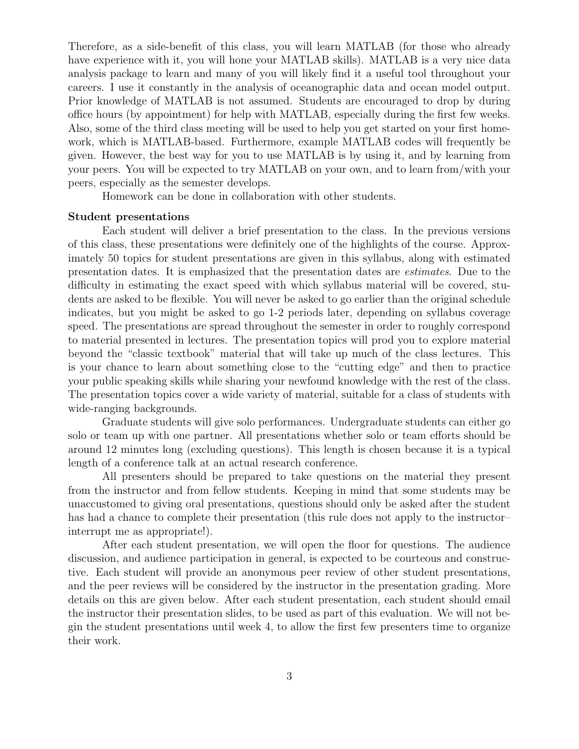Therefore, as a side-benefit of this class, you will learn MATLAB (for those who already have experience with it, you will hone your MATLAB skills). MATLAB is a very nice data analysis package to learn and many of you will likely find it a useful tool throughout your careers. I use it constantly in the analysis of oceanographic data and ocean model output. Prior knowledge of MATLAB is not assumed. Students are encouraged to drop by during office hours (by appointment) for help with MATLAB, especially during the first few weeks. Also, some of the third class meeting will be used to help you get started on your first homework, which is MATLAB-based. Furthermore, example MATLAB codes will frequently be given. However, the best way for you to use MATLAB is by using it, and by learning from your peers. You will be expected to try MATLAB on your own, and to learn from/with your peers, especially as the semester develops.

Homework can be done in collaboration with other students.

#### Student presentations

Each student will deliver a brief presentation to the class. In the previous versions of this class, these presentations were definitely one of the highlights of the course. Approximately 50 topics for student presentations are given in this syllabus, along with estimated presentation dates. It is emphasized that the presentation dates are estimates. Due to the difficulty in estimating the exact speed with which syllabus material will be covered, students are asked to be flexible. You will never be asked to go earlier than the original schedule indicates, but you might be asked to go 1-2 periods later, depending on syllabus coverage speed. The presentations are spread throughout the semester in order to roughly correspond to material presented in lectures. The presentation topics will prod you to explore material beyond the "classic textbook" material that will take up much of the class lectures. This is your chance to learn about something close to the "cutting edge" and then to practice your public speaking skills while sharing your newfound knowledge with the rest of the class. The presentation topics cover a wide variety of material, suitable for a class of students with wide-ranging backgrounds.

Graduate students will give solo performances. Undergraduate students can either go solo or team up with one partner. All presentations whether solo or team efforts should be around 12 minutes long (excluding questions). This length is chosen because it is a typical length of a conference talk at an actual research conference.

All presenters should be prepared to take questions on the material they present from the instructor and from fellow students. Keeping in mind that some students may be unaccustomed to giving oral presentations, questions should only be asked after the student has had a chance to complete their presentation (this rule does not apply to the instructor– interrupt me as appropriate!).

After each student presentation, we will open the floor for questions. The audience discussion, and audience participation in general, is expected to be courteous and constructive. Each student will provide an anonymous peer review of other student presentations, and the peer reviews will be considered by the instructor in the presentation grading. More details on this are given below. After each student presentation, each student should email the instructor their presentation slides, to be used as part of this evaluation. We will not begin the student presentations until week 4, to allow the first few presenters time to organize their work.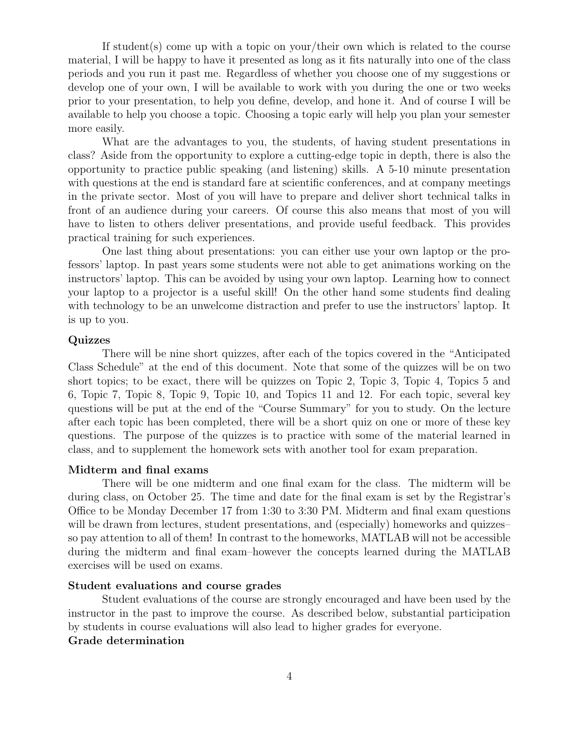If student(s) come up with a topic on your/their own which is related to the course material, I will be happy to have it presented as long as it fits naturally into one of the class periods and you run it past me. Regardless of whether you choose one of my suggestions or develop one of your own, I will be available to work with you during the one or two weeks prior to your presentation, to help you define, develop, and hone it. And of course I will be available to help you choose a topic. Choosing a topic early will help you plan your semester more easily.

What are the advantages to you, the students, of having student presentations in class? Aside from the opportunity to explore a cutting-edge topic in depth, there is also the opportunity to practice public speaking (and listening) skills. A 5-10 minute presentation with questions at the end is standard fare at scientific conferences, and at company meetings in the private sector. Most of you will have to prepare and deliver short technical talks in front of an audience during your careers. Of course this also means that most of you will have to listen to others deliver presentations, and provide useful feedback. This provides practical training for such experiences.

One last thing about presentations: you can either use your own laptop or the professors' laptop. In past years some students were not able to get animations working on the instructors' laptop. This can be avoided by using your own laptop. Learning how to connect your laptop to a projector is a useful skill! On the other hand some students find dealing with technology to be an unwelcome distraction and prefer to use the instructors' laptop. It is up to you.

#### Quizzes

There will be nine short quizzes, after each of the topics covered in the "Anticipated Class Schedule" at the end of this document. Note that some of the quizzes will be on two short topics; to be exact, there will be quizzes on Topic 2, Topic 3, Topic 4, Topics 5 and 6, Topic 7, Topic 8, Topic 9, Topic 10, and Topics 11 and 12. For each topic, several key questions will be put at the end of the "Course Summary" for you to study. On the lecture after each topic has been completed, there will be a short quiz on one or more of these key questions. The purpose of the quizzes is to practice with some of the material learned in class, and to supplement the homework sets with another tool for exam preparation.

#### Midterm and final exams

There will be one midterm and one final exam for the class. The midterm will be during class, on October 25. The time and date for the final exam is set by the Registrar's Office to be Monday December 17 from 1:30 to 3:30 PM. Midterm and final exam questions will be drawn from lectures, student presentations, and (especially) homeworks and quizzes– so pay attention to all of them! In contrast to the homeworks, MATLAB will not be accessible during the midterm and final exam–however the concepts learned during the MATLAB exercises will be used on exams.

#### Student evaluations and course grades

Student evaluations of the course are strongly encouraged and have been used by the instructor in the past to improve the course. As described below, substantial participation by students in course evaluations will also lead to higher grades for everyone. Grade determination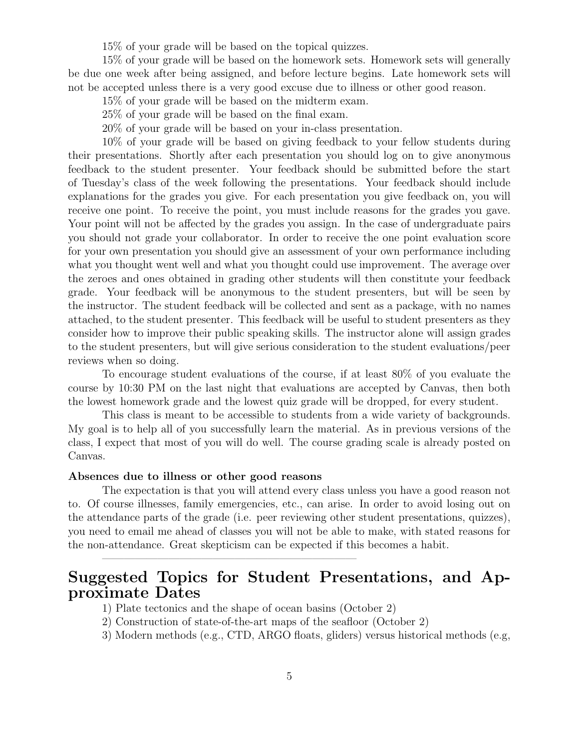15% of your grade will be based on the topical quizzes.

15% of your grade will be based on the homework sets. Homework sets will generally be due one week after being assigned, and before lecture begins. Late homework sets will not be accepted unless there is a very good excuse due to illness or other good reason.

15% of your grade will be based on the midterm exam.

25% of your grade will be based on the final exam.

20% of your grade will be based on your in-class presentation.

10% of your grade will be based on giving feedback to your fellow students during their presentations. Shortly after each presentation you should log on to give anonymous feedback to the student presenter. Your feedback should be submitted before the start of Tuesday's class of the week following the presentations. Your feedback should include explanations for the grades you give. For each presentation you give feedback on, you will receive one point. To receive the point, you must include reasons for the grades you gave. Your point will not be affected by the grades you assign. In the case of undergraduate pairs you should not grade your collaborator. In order to receive the one point evaluation score for your own presentation you should give an assessment of your own performance including what you thought went well and what you thought could use improvement. The average over the zeroes and ones obtained in grading other students will then constitute your feedback grade. Your feedback will be anonymous to the student presenters, but will be seen by the instructor. The student feedback will be collected and sent as a package, with no names attached, to the student presenter. This feedback will be useful to student presenters as they consider how to improve their public speaking skills. The instructor alone will assign grades to the student presenters, but will give serious consideration to the student evaluations/peer reviews when so doing.

To encourage student evaluations of the course, if at least 80% of you evaluate the course by 10:30 PM on the last night that evaluations are accepted by Canvas, then both the lowest homework grade and the lowest quiz grade will be dropped, for every student.

This class is meant to be accessible to students from a wide variety of backgrounds. My goal is to help all of you successfully learn the material. As in previous versions of the class, I expect that most of you will do well. The course grading scale is already posted on Canvas.

#### Absences due to illness or other good reasons

The expectation is that you will attend every class unless you have a good reason not to. Of course illnesses, family emergencies, etc., can arise. In order to avoid losing out on the attendance parts of the grade (i.e. peer reviewing other student presentations, quizzes), you need to email me ahead of classes you will not be able to make, with stated reasons for the non-attendance. Great skepticism can be expected if this becomes a habit.

# Suggested Topics for Student Presentations, and Approximate Dates

1) Plate tectonics and the shape of ocean basins (October 2)

 $\frac{1}{\sqrt{2}}$  , and the contract of  $\frac{1}{\sqrt{2}}$  , and  $\frac{1}{\sqrt{2}}$  , and  $\frac{1}{\sqrt{2}}$  , and  $\frac{1}{\sqrt{2}}$  , and  $\frac{1}{\sqrt{2}}$ 

- 2) Construction of state-of-the-art maps of the seafloor (October 2)
- 3) Modern methods (e.g., CTD, ARGO floats, gliders) versus historical methods (e.g,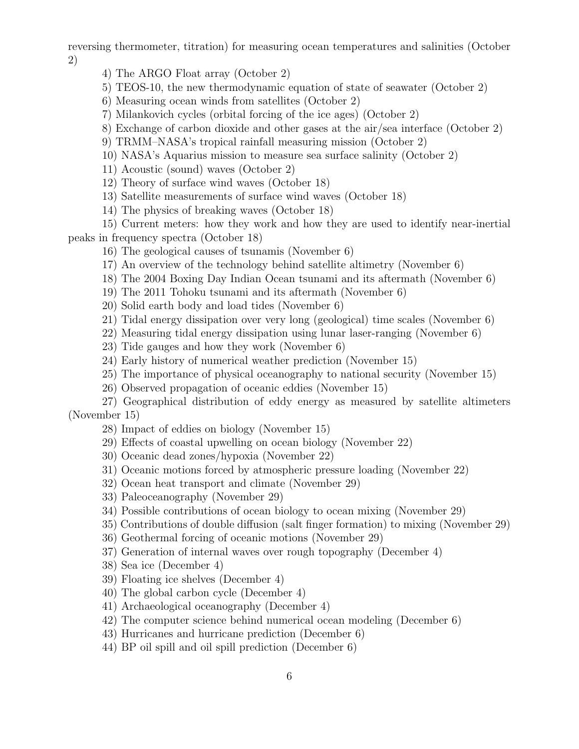reversing thermometer, titration) for measuring ocean temperatures and salinities (October 2)

- 4) The ARGO Float array (October 2)
- 5) TEOS-10, the new thermodynamic equation of state of seawater (October 2)
- 6) Measuring ocean winds from satellites (October 2)
- 7) Milankovich cycles (orbital forcing of the ice ages) (October 2)
- 8) Exchange of carbon dioxide and other gases at the air/sea interface (October 2)
- 9) TRMM–NASA's tropical rainfall measuring mission (October 2)
- 10) NASA's Aquarius mission to measure sea surface salinity (October 2)
- 11) Acoustic (sound) waves (October 2)
- 12) Theory of surface wind waves (October 18)
- 13) Satellite measurements of surface wind waves (October 18)
- 14) The physics of breaking waves (October 18)

15) Current meters: how they work and how they are used to identify near-inertial peaks in frequency spectra (October 18)

- 16) The geological causes of tsunamis (November 6)
- 17) An overview of the technology behind satellite altimetry (November 6)
- 18) The 2004 Boxing Day Indian Ocean tsunami and its aftermath (November 6)
- 19) The 2011 Tohoku tsunami and its aftermath (November 6)
- 20) Solid earth body and load tides (November 6)
- 21) Tidal energy dissipation over very long (geological) time scales (November 6)
- 22) Measuring tidal energy dissipation using lunar laser-ranging (November 6)
- 23) Tide gauges and how they work (November 6)
- 24) Early history of numerical weather prediction (November 15)
- 25) The importance of physical oceanography to national security (November 15)
- 26) Observed propagation of oceanic eddies (November 15)

27) Geographical distribution of eddy energy as measured by satellite altimeters (November 15)

- 28) Impact of eddies on biology (November 15)
- 29) Effects of coastal upwelling on ocean biology (November 22)
- 30) Oceanic dead zones/hypoxia (November 22)
- 31) Oceanic motions forced by atmospheric pressure loading (November 22)
- 32) Ocean heat transport and climate (November 29)
- 33) Paleoceanography (November 29)
- 34) Possible contributions of ocean biology to ocean mixing (November 29)
- 35) Contributions of double diffusion (salt finger formation) to mixing (November 29)
- 36) Geothermal forcing of oceanic motions (November 29)
- 37) Generation of internal waves over rough topography (December 4)
- 38) Sea ice (December 4)
- 39) Floating ice shelves (December 4)
- 40) The global carbon cycle (December 4)
- 41) Archaeological oceanography (December 4)
- 42) The computer science behind numerical ocean modeling (December 6)
- 43) Hurricanes and hurricane prediction (December 6)
- 44) BP oil spill and oil spill prediction (December 6)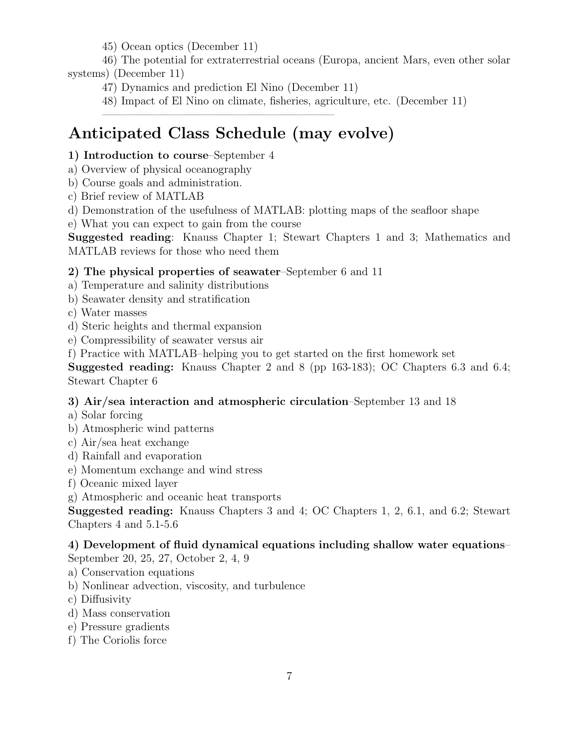45) Ocean optics (December 11)

46) The potential for extraterrestrial oceans (Europa, ancient Mars, even other solar systems) (December 11)

47) Dynamics and prediction El Nino (December 11)

 $\frac{1}{\sqrt{2}}$  , and the contribution of  $\frac{1}{\sqrt{2}}$  , and  $\frac{1}{\sqrt{2}}$  , and  $\frac{1}{\sqrt{2}}$  , and  $\frac{1}{\sqrt{2}}$  , and  $\frac{1}{\sqrt{2}}$ 

48) Impact of El Nino on climate, fisheries, agriculture, etc. (December 11)

# Anticipated Class Schedule (may evolve)

## 1) Introduction to course–September 4

- a) Overview of physical oceanography
- b) Course goals and administration.
- c) Brief review of MATLAB

d) Demonstration of the usefulness of MATLAB: plotting maps of the seafloor shape

e) What you can expect to gain from the course

Suggested reading: Knauss Chapter 1; Stewart Chapters 1 and 3; Mathematics and MATLAB reviews for those who need them

### 2) The physical properties of seawater–September 6 and 11

a) Temperature and salinity distributions

- b) Seawater density and stratification
- c) Water masses
- d) Steric heights and thermal expansion
- e) Compressibility of seawater versus air
- f) Practice with MATLAB–helping you to get started on the first homework set

Suggested reading: Knauss Chapter 2 and 8 (pp 163-183); OC Chapters 6.3 and 6.4; Stewart Chapter 6

# 3) Air/sea interaction and atmospheric circulation–September 13 and 18

- a) Solar forcing
- b) Atmospheric wind patterns
- c) Air/sea heat exchange
- d) Rainfall and evaporation
- e) Momentum exchange and wind stress
- f) Oceanic mixed layer
- g) Atmospheric and oceanic heat transports

Suggested reading: Knauss Chapters 3 and 4; OC Chapters 1, 2, 6.1, and 6.2; Stewart Chapters 4 and 5.1-5.6

# 4) Development of fluid dynamical equations including shallow water equations–

September 20, 25, 27, October 2, 4, 9

- a) Conservation equations
- b) Nonlinear advection, viscosity, and turbulence
- c) Diffusivity
- d) Mass conservation
- e) Pressure gradients
- f) The Coriolis force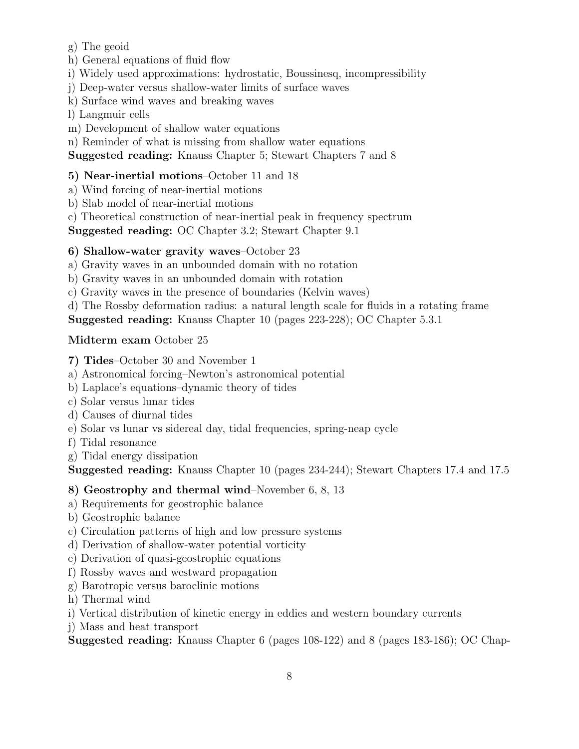g) The geoid

h) General equations of fluid flow

i) Widely used approximations: hydrostatic, Boussinesq, incompressibility

j) Deep-water versus shallow-water limits of surface waves

k) Surface wind waves and breaking waves

l) Langmuir cells

m) Development of shallow water equations

n) Reminder of what is missing from shallow water equations

Suggested reading: Knauss Chapter 5; Stewart Chapters 7 and 8

### 5) Near-inertial motions–October 11 and 18

a) Wind forcing of near-inertial motions

b) Slab model of near-inertial motions

c) Theoretical construction of near-inertial peak in frequency spectrum

Suggested reading: OC Chapter 3.2; Stewart Chapter 9.1

### 6) Shallow-water gravity waves–October 23

a) Gravity waves in an unbounded domain with no rotation

b) Gravity waves in an unbounded domain with rotation

c) Gravity waves in the presence of boundaries (Kelvin waves)

d) The Rossby deformation radius: a natural length scale for fluids in a rotating frame

Suggested reading: Knauss Chapter 10 (pages 223-228); OC Chapter 5.3.1

### Midterm exam October 25

7) Tides–October 30 and November 1

a) Astronomical forcing–Newton's astronomical potential

b) Laplace's equations–dynamic theory of tides

c) Solar versus lunar tides

d) Causes of diurnal tides

- e) Solar vs lunar vs sidereal day, tidal frequencies, spring-neap cycle
- f) Tidal resonance

g) Tidal energy dissipation

Suggested reading: Knauss Chapter 10 (pages 234-244); Stewart Chapters 17.4 and 17.5

### 8) Geostrophy and thermal wind–November 6, 8, 13

- a) Requirements for geostrophic balance
- b) Geostrophic balance
- c) Circulation patterns of high and low pressure systems
- d) Derivation of shallow-water potential vorticity
- e) Derivation of quasi-geostrophic equations
- f) Rossby waves and westward propagation
- g) Barotropic versus baroclinic motions
- h) Thermal wind

i) Vertical distribution of kinetic energy in eddies and western boundary currents

j) Mass and heat transport

Suggested reading: Knauss Chapter 6 (pages 108-122) and 8 (pages 183-186); OC Chap-